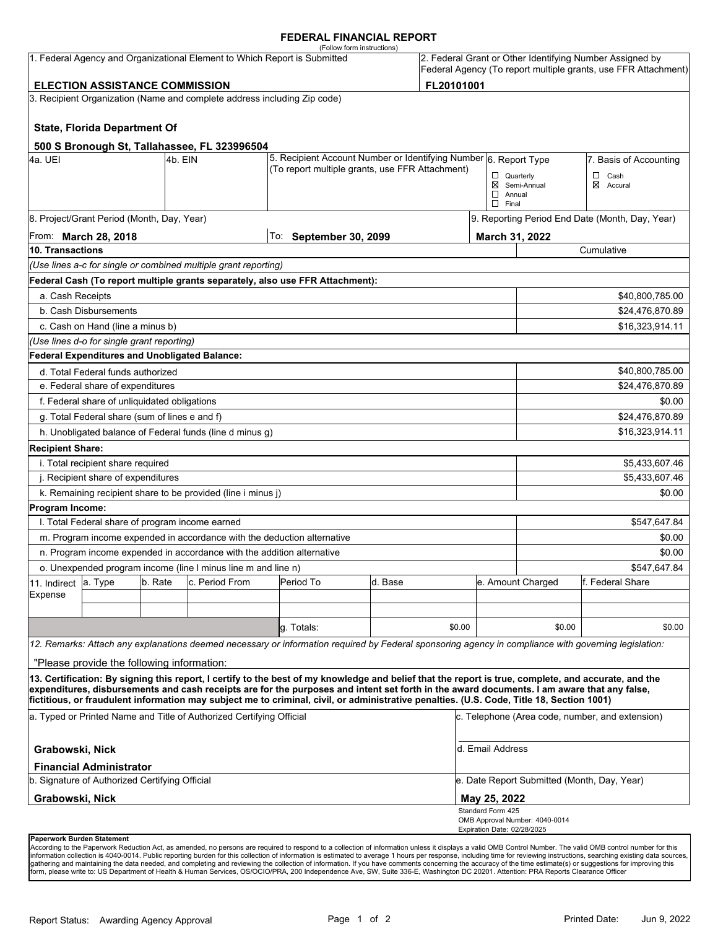#### **FEDERAL FINANCIAL REPORT**

|                                                                                                                                 |                                                      |         | 1. Federal Agency and Organizational Element to Which Report is Submitted | (Follow form instructions)                                                                                                                                                                                                                                                                                                                                                                                                                      |         |                 |                                                  |                                             | 2. Federal Grant or Other Identifying Number Assigned by       |  |
|---------------------------------------------------------------------------------------------------------------------------------|------------------------------------------------------|---------|---------------------------------------------------------------------------|-------------------------------------------------------------------------------------------------------------------------------------------------------------------------------------------------------------------------------------------------------------------------------------------------------------------------------------------------------------------------------------------------------------------------------------------------|---------|-----------------|--------------------------------------------------|---------------------------------------------|----------------------------------------------------------------|--|
|                                                                                                                                 |                                                      |         |                                                                           |                                                                                                                                                                                                                                                                                                                                                                                                                                                 |         |                 |                                                  |                                             | Federal Agency (To report multiple grants, use FFR Attachment) |  |
| FL20101001<br><b>ELECTION ASSISTANCE COMMISSION</b><br>3. Recipient Organization (Name and complete address including Zip code) |                                                      |         |                                                                           |                                                                                                                                                                                                                                                                                                                                                                                                                                                 |         |                 |                                                  |                                             |                                                                |  |
|                                                                                                                                 |                                                      |         |                                                                           |                                                                                                                                                                                                                                                                                                                                                                                                                                                 |         |                 |                                                  |                                             |                                                                |  |
|                                                                                                                                 | <b>State, Florida Department Of</b>                  |         |                                                                           |                                                                                                                                                                                                                                                                                                                                                                                                                                                 |         |                 |                                                  |                                             |                                                                |  |
|                                                                                                                                 |                                                      |         | 500 S Bronough St, Tallahassee, FL 323996504                              |                                                                                                                                                                                                                                                                                                                                                                                                                                                 |         |                 |                                                  |                                             |                                                                |  |
| 4a. UEI                                                                                                                         |                                                      | 4b. EIN |                                                                           | 5. Recipient Account Number or Identifying Number 6. Report Type                                                                                                                                                                                                                                                                                                                                                                                |         |                 |                                                  |                                             | 7. Basis of Accounting                                         |  |
|                                                                                                                                 |                                                      |         |                                                                           | (To report multiple grants, use FFR Attachment)                                                                                                                                                                                                                                                                                                                                                                                                 |         |                 | $\Box$ Quarterly                                 |                                             | $\Box$ Cash                                                    |  |
|                                                                                                                                 |                                                      |         |                                                                           |                                                                                                                                                                                                                                                                                                                                                                                                                                                 |         |                 | $\Box$ Annual<br>$\Box$ Final                    | ⊠ Semi-Annual                               | ⊠ Accural                                                      |  |
|                                                                                                                                 | 8. Project/Grant Period (Month, Day, Year)           |         |                                                                           |                                                                                                                                                                                                                                                                                                                                                                                                                                                 |         |                 |                                                  |                                             | 9. Reporting Period End Date (Month, Day, Year)                |  |
|                                                                                                                                 | From: <b>March 28, 2018</b>                          |         |                                                                           | To: September 30, 2099                                                                                                                                                                                                                                                                                                                                                                                                                          |         |                 | March 31, 2022                                   |                                             |                                                                |  |
| 10. Transactions                                                                                                                |                                                      |         |                                                                           |                                                                                                                                                                                                                                                                                                                                                                                                                                                 |         |                 |                                                  | Cumulative                                  |                                                                |  |
|                                                                                                                                 |                                                      |         | (Use lines a-c for single or combined multiple grant reporting)           |                                                                                                                                                                                                                                                                                                                                                                                                                                                 |         |                 |                                                  |                                             |                                                                |  |
|                                                                                                                                 |                                                      |         |                                                                           | Federal Cash (To report multiple grants separately, also use FFR Attachment):                                                                                                                                                                                                                                                                                                                                                                   |         |                 |                                                  |                                             |                                                                |  |
| a. Cash Receipts                                                                                                                |                                                      |         |                                                                           |                                                                                                                                                                                                                                                                                                                                                                                                                                                 |         |                 |                                                  |                                             | \$40,800,785.00                                                |  |
| b. Cash Disbursements                                                                                                           |                                                      |         |                                                                           |                                                                                                                                                                                                                                                                                                                                                                                                                                                 |         | \$24,476,870.89 |                                                  |                                             |                                                                |  |
|                                                                                                                                 | c. Cash on Hand (line a minus b)                     |         |                                                                           |                                                                                                                                                                                                                                                                                                                                                                                                                                                 |         |                 |                                                  |                                             | \$16,323,914.11                                                |  |
|                                                                                                                                 | (Use lines d-o for single grant reporting)           |         |                                                                           |                                                                                                                                                                                                                                                                                                                                                                                                                                                 |         |                 |                                                  |                                             |                                                                |  |
|                                                                                                                                 | <b>Federal Expenditures and Unobligated Balance:</b> |         |                                                                           |                                                                                                                                                                                                                                                                                                                                                                                                                                                 |         |                 |                                                  |                                             |                                                                |  |
|                                                                                                                                 | d. Total Federal funds authorized                    |         |                                                                           |                                                                                                                                                                                                                                                                                                                                                                                                                                                 |         |                 |                                                  |                                             | \$40,800,785.00                                                |  |
| e. Federal share of expenditures                                                                                                |                                                      |         |                                                                           |                                                                                                                                                                                                                                                                                                                                                                                                                                                 |         |                 | \$24,476,870.89                                  |                                             |                                                                |  |
|                                                                                                                                 | f. Federal share of unliquidated obligations         |         |                                                                           |                                                                                                                                                                                                                                                                                                                                                                                                                                                 |         |                 |                                                  |                                             | \$0.00                                                         |  |
|                                                                                                                                 | g. Total Federal share (sum of lines e and f)        |         |                                                                           |                                                                                                                                                                                                                                                                                                                                                                                                                                                 |         |                 | \$24,476,870.89                                  |                                             |                                                                |  |
|                                                                                                                                 |                                                      |         | h. Unobligated balance of Federal funds (line d minus g)                  |                                                                                                                                                                                                                                                                                                                                                                                                                                                 |         |                 |                                                  |                                             | \$16,323,914.11                                                |  |
| <b>Recipient Share:</b>                                                                                                         |                                                      |         |                                                                           |                                                                                                                                                                                                                                                                                                                                                                                                                                                 |         |                 |                                                  |                                             |                                                                |  |
|                                                                                                                                 | i. Total recipient share required                    |         |                                                                           |                                                                                                                                                                                                                                                                                                                                                                                                                                                 |         |                 |                                                  |                                             | \$5,433,607.46                                                 |  |
| j. Recipient share of expenditures                                                                                              |                                                      |         |                                                                           |                                                                                                                                                                                                                                                                                                                                                                                                                                                 |         |                 | \$5,433,607.46                                   |                                             |                                                                |  |
|                                                                                                                                 |                                                      |         | k. Remaining recipient share to be provided (line i minus j)              |                                                                                                                                                                                                                                                                                                                                                                                                                                                 |         |                 |                                                  |                                             | \$0.00                                                         |  |
| Program Income:                                                                                                                 |                                                      |         |                                                                           |                                                                                                                                                                                                                                                                                                                                                                                                                                                 |         |                 |                                                  |                                             |                                                                |  |
|                                                                                                                                 | I. Total Federal share of program income earned      |         |                                                                           |                                                                                                                                                                                                                                                                                                                                                                                                                                                 |         |                 |                                                  |                                             | \$547,647.84                                                   |  |
|                                                                                                                                 |                                                      |         | m. Program income expended in accordance with the deduction alternative   |                                                                                                                                                                                                                                                                                                                                                                                                                                                 |         |                 |                                                  |                                             | \$0.00                                                         |  |
|                                                                                                                                 |                                                      |         | n. Program income expended in accordance with the addition alternative    |                                                                                                                                                                                                                                                                                                                                                                                                                                                 |         |                 |                                                  |                                             | \$0.00                                                         |  |
|                                                                                                                                 |                                                      |         | o. Unexpended program income (line I minus line m and line n)             |                                                                                                                                                                                                                                                                                                                                                                                                                                                 |         |                 |                                                  |                                             | \$547,647.84                                                   |  |
| 11. Indirect                                                                                                                    | a. Type                                              | b. Rate | c. Period From                                                            | Period To                                                                                                                                                                                                                                                                                                                                                                                                                                       | d. Base |                 |                                                  | e. Amount Charged                           | f. Federal Share                                               |  |
| Expense                                                                                                                         |                                                      |         |                                                                           |                                                                                                                                                                                                                                                                                                                                                                                                                                                 |         |                 |                                                  |                                             |                                                                |  |
|                                                                                                                                 |                                                      |         |                                                                           |                                                                                                                                                                                                                                                                                                                                                                                                                                                 |         |                 |                                                  |                                             |                                                                |  |
|                                                                                                                                 |                                                      |         |                                                                           | q. Totals:                                                                                                                                                                                                                                                                                                                                                                                                                                      |         | \$0.00          |                                                  | \$0.00                                      | \$0.00                                                         |  |
|                                                                                                                                 |                                                      |         |                                                                           | 12. Remarks: Attach any explanations deemed necessary or information required by Federal sponsoring agency in compliance with governing legislation:                                                                                                                                                                                                                                                                                            |         |                 |                                                  |                                             |                                                                |  |
|                                                                                                                                 | "Please provide the following information:           |         |                                                                           |                                                                                                                                                                                                                                                                                                                                                                                                                                                 |         |                 |                                                  |                                             |                                                                |  |
|                                                                                                                                 |                                                      |         |                                                                           | 13. Certification: By signing this report, I certify to the best of my knowledge and belief that the report is true, complete, and accurate, and the<br>expenditures, disbursements and cash receipts are for the purposes and intent set forth in the award documents. I am aware that any false,<br>fictitious, or fraudulent information may subject me to criminal, civil, or administrative penalties. (U.S. Code, Title 18, Section 1001) |         |                 |                                                  |                                             |                                                                |  |
|                                                                                                                                 |                                                      |         | a. Typed or Printed Name and Title of Authorized Certifying Official      |                                                                                                                                                                                                                                                                                                                                                                                                                                                 |         |                 |                                                  |                                             | c. Telephone (Area code, number, and extension)                |  |
| Grabowski, Nick                                                                                                                 |                                                      |         |                                                                           |                                                                                                                                                                                                                                                                                                                                                                                                                                                 |         |                 | d. Email Address                                 |                                             |                                                                |  |
|                                                                                                                                 | <b>Financial Administrator</b>                       |         |                                                                           |                                                                                                                                                                                                                                                                                                                                                                                                                                                 |         |                 |                                                  |                                             |                                                                |  |
|                                                                                                                                 | b. Signature of Authorized Certifying Official       |         |                                                                           |                                                                                                                                                                                                                                                                                                                                                                                                                                                 |         |                 |                                                  | e. Date Report Submitted (Month, Day, Year) |                                                                |  |
| Grabowski, Nick                                                                                                                 |                                                      |         |                                                                           |                                                                                                                                                                                                                                                                                                                                                                                                                                                 |         |                 | May 25, 2022                                     |                                             |                                                                |  |
|                                                                                                                                 |                                                      |         |                                                                           |                                                                                                                                                                                                                                                                                                                                                                                                                                                 |         |                 | Standard Form 425<br>Expiration Date: 02/28/2025 | OMB Approval Number: 4040-0014              |                                                                |  |
| Paperwork Burden Statement                                                                                                      |                                                      |         |                                                                           |                                                                                                                                                                                                                                                                                                                                                                                                                                                 |         |                 |                                                  |                                             |                                                                |  |

According to the Paperwork Reduction Act, as amended, no persons are required to respond to a collection of information unless it displays a valid OMB Control Number. The valid OMB control number for this<br>information colle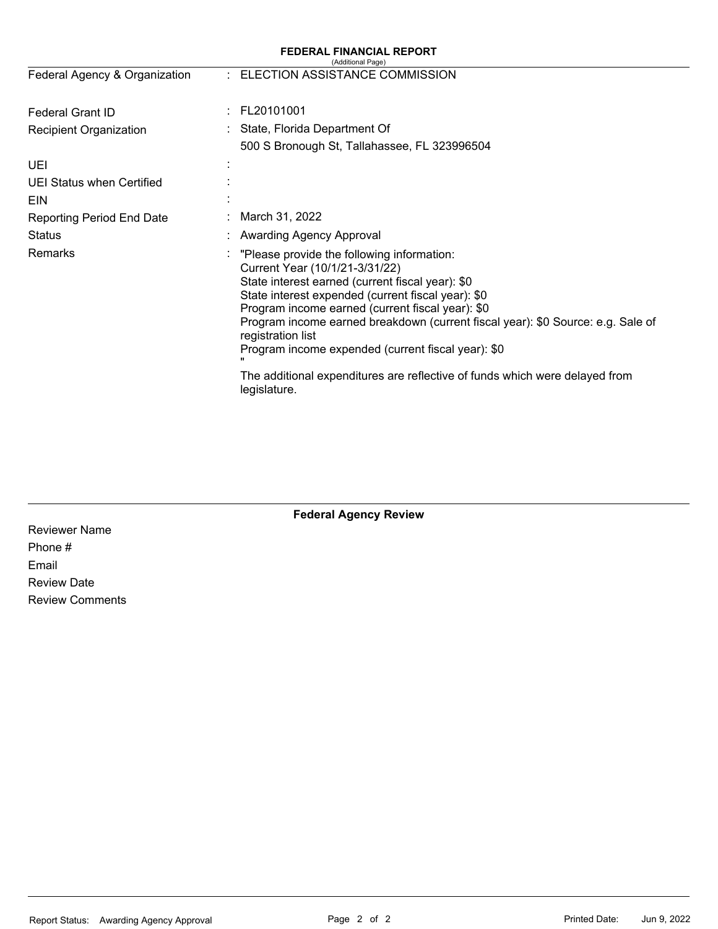#### **FEDERAL FINANCIAL REPORT**  (Additional Page) Federal Agency & Organization : ELECTION ASSISTANCE COMMISSION Federal Grant ID : FL20101001 Recipient Organization : State, Florida Department Of 500 S Bronough St, Tallahassee, FL 323996504 UEI : UEI Status when Certified : EIN **EIN** Reporting Period End Date **Status Remarks** : March 31, 2022 : Awarding Agency Approval : "Please provide the following information: Current Year (10/1/21-3/31/22) State interest earned (current fiscal year): \$0 State interest expended (current fiscal year): \$0 Program income earned (current fiscal year): \$0 Program income earned breakdown (current fiscal year): \$0 Source: e.g. Sale of registration list Program income expended (current fiscal year): \$0 " The additional expenditures are reflective of funds which were delayed from legislature.

# **Federal Agency Review**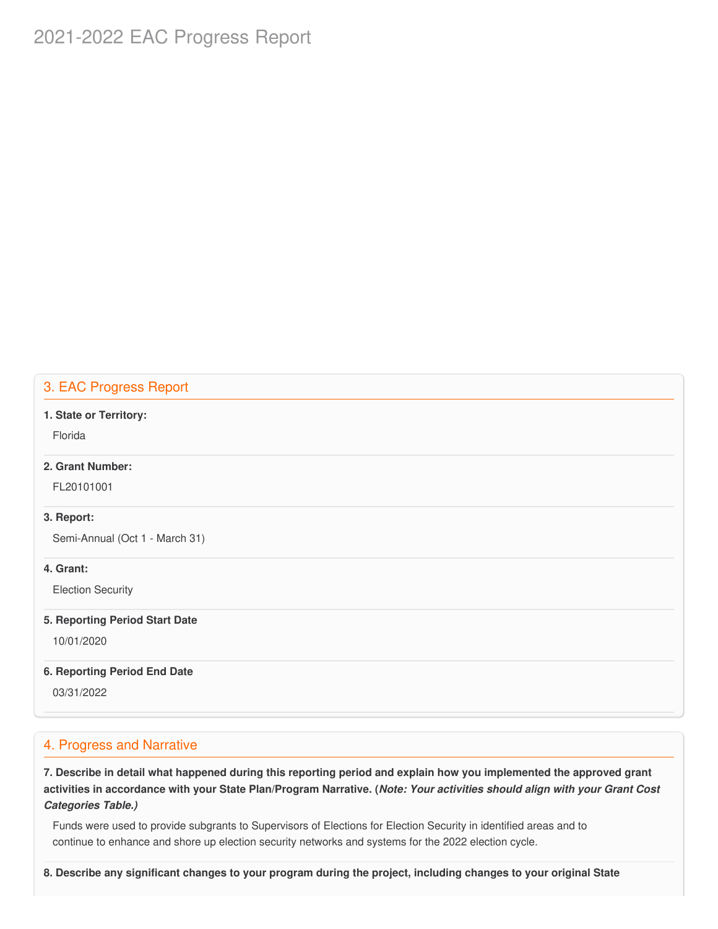# 2021-2022 EAC Progress Report

# 3. EAC Progress Report

#### **1. State or Territory:**

Florida

## **2. Grant Number:**

FL20101001

#### **3. Report:**

Semi-Annual (Oct 1 - March 31)

#### **4. Grant:**

Election Security

#### **5. Reporting Period Start Date**

10/01/2020

#### **6. Reporting Period End Date**

03/31/2022

# 4. Progress and Narrative

7. Describe in detail what happened during this reporting period and explain how you implemented the approved grant activities in accordance with your State Plan/Program Narrative. (*Note: Your activities should align with your Grant Cost Categories Table.)*

 Funds were used to provide subgrants to Supervisors of Elections for Election Security in identified areas and to continue to enhance and shore up election security networks and systems for the 2022 election cycle.

8. Describe any significant changes to your program during the project, including changes to your original State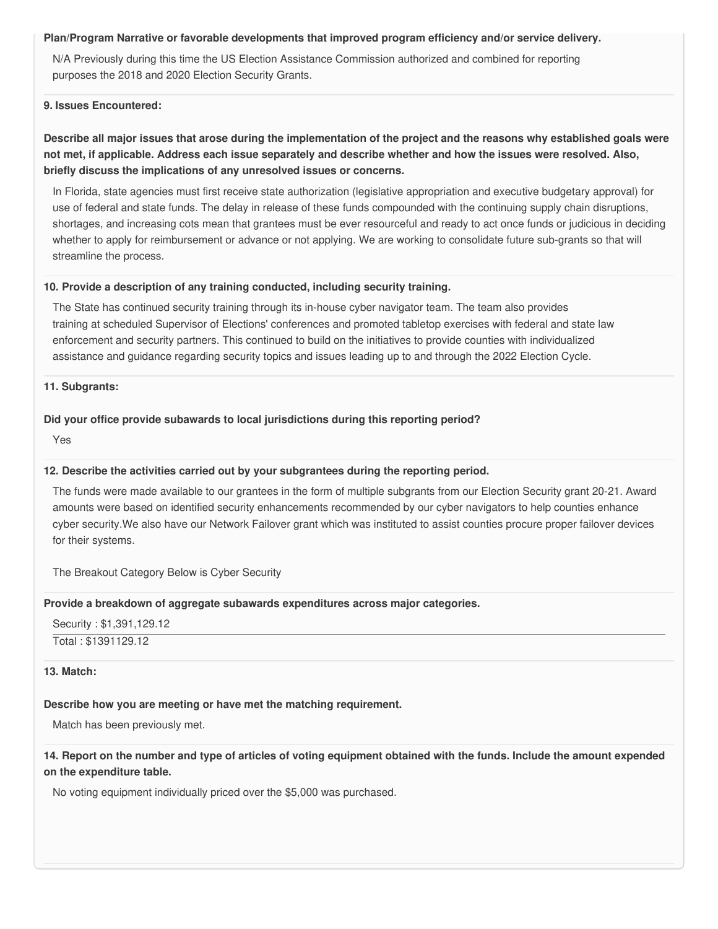#### **Plan/Program Narrative or favorable developments that improved program efficiency and/or service delivery.**

 N/A Previously during this time the US Election Assistance Commission authorized and combined for reporting purposes the 2018 and 2020 Election Security Grants.

#### **9. Issues Encountered:**

# Describe all major issues that arose during the implementation of the project and the reasons why established goals were not met, if applicable. Address each issue separately and describe whether and how the issues were resolved. Also,  **briefly discuss the implications of any unresolved issues or concerns.**

 In Florida, state agencies must first receive state authorization (legislative appropriation and executive budgetary approval) for use of federal and state funds. The delay in release of these funds compounded with the continuing supply chain disruptions, shortages, and increasing cots mean that grantees must be ever resourceful and ready to act once funds or judicious in deciding whether to apply for reimbursement or advance or not applying. We are working to consolidate future sub-grants so that will streamline the process.

#### **10. Provide a description of any training conducted, including security training.**

 The State has continued security training through its in-house cyber navigator team. The team also provides training at scheduled Supervisor of Elections' conferences and promoted tabletop exercises with federal and state law enforcement and security partners. This continued to build on the initiatives to provide counties with individualized assistance and guidance regarding security topics and issues leading up to and through the 2022 Election Cycle.

#### **11. Subgrants:**

#### **Did your office provide subawards to local jurisdictions during this reporting period?**

Yes

#### **12. Describe the activities carried out by your subgrantees during the reporting period.**

 The funds were made available to our grantees in the form of multiple subgrants from our Election Security grant 20-21. Award amounts were based on identified security enhancements recommended by our cyber navigators to help counties enhance cyber [security.We](https://security.We) also have our Network Failover grant which was instituted to assist counties procure proper failover devices for their systems.

The Breakout Category Below is Cyber Security

# **Provide a breakdown of aggregate subawards expenditures across major categories.**

```
 
Security : $1,391,129.12

Total : $1391129.12
```
### **13. Match:**

### **Describe how you are meeting or have met the matching requirement.**

Match has been previously met.

# 14. Report on the number and type of articles of voting equipment obtained with the funds. Include the amount expended  **on the expenditure table.**

No voting equipment individually priced over the \$5,000 was purchased.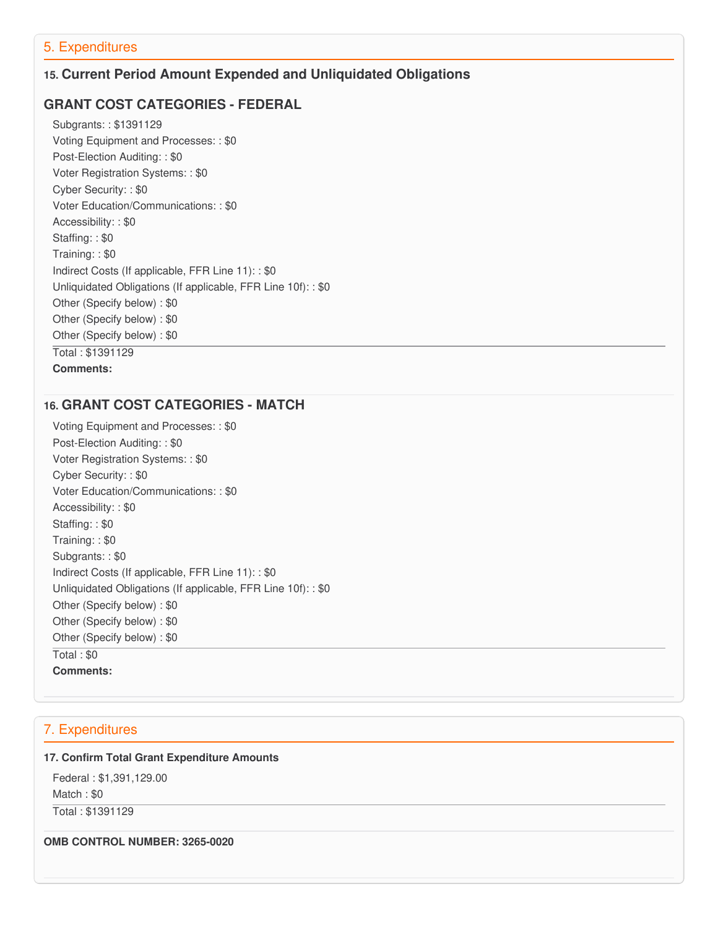# 5. Expenditures

# **15. Current Period Amount Expended and Unliquidated Obligations**

# **GRANT COST CATEGORIES - FEDERAL**

 Subgrants: : \$1391129 Voting Equipment and Processes: : \$0 Post-Election Auditing: : \$0 Voter Registration Systems: : \$0 Cyber Security: : \$0 Voter Education/Communications: : \$0 Accessibility: : \$0 Staffing: : \$0 Training: : \$0 Indirect Costs (If applicable, FFR Line 11): : \$0 Unliquidated Obligations (If applicable, FFR Line 10f): : \$0 Other (Specify below) : \$0 Other (Specify below) : \$0 Other (Specify below) : \$0 Total : \$1391129 **Comments:**

# **16. GRANT COST CATEGORIES - MATCH**

 Voting Equipment and Processes: : \$0 Post-Election Auditing: : \$0 Voter Registration Systems: : \$0 Cyber Security: : \$0 Voter Education/Communications: : \$0 Accessibility: : \$0 Staffing: : \$0 Training: : \$0 Subgrants: : \$0 Indirect Costs (If applicable, FFR Line 11): : \$0 Unliquidated Obligations (If applicable, FFR Line 10f): : \$0 Other (Specify below) : \$0 Other (Specify below) : \$0 Other (Specify below) : \$0 Total : \$0 **Comments:**

# 7. Expenditures

#### **17. Confirm Total Grant Expenditure Amounts**

 Federal : \$1,391,129.00 Match : \$0 Total : \$1391129

 **OMB CONTROL NUMBER: 3265-0020**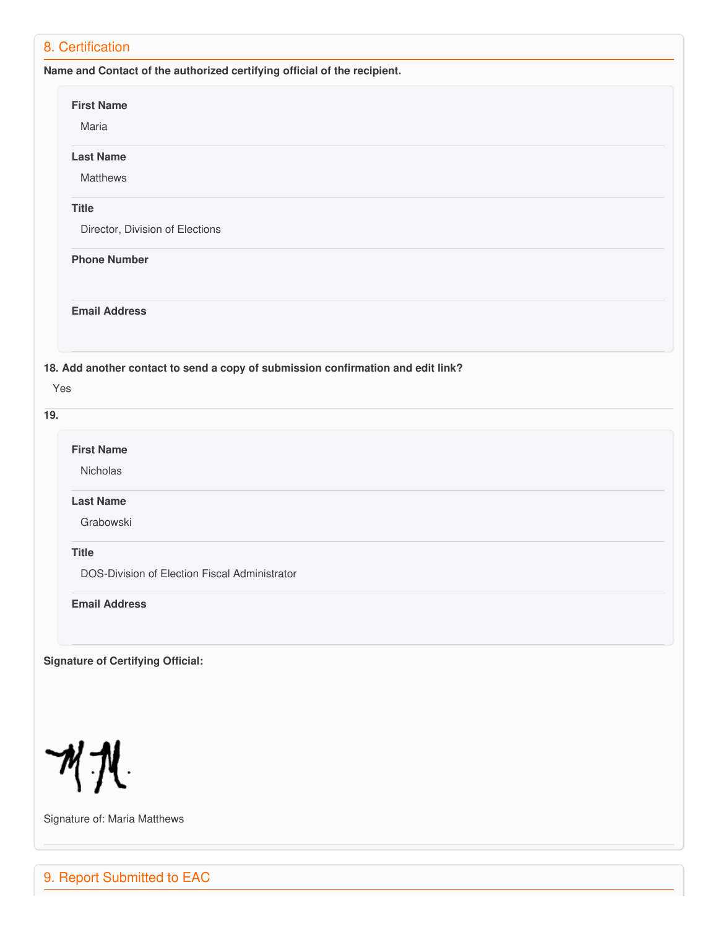| <b>First Name</b>                        |                                                                                  |
|------------------------------------------|----------------------------------------------------------------------------------|
| Maria                                    |                                                                                  |
| <b>Last Name</b>                         |                                                                                  |
| Matthews                                 |                                                                                  |
| <b>Title</b>                             |                                                                                  |
| Director, Division of Elections          |                                                                                  |
| <b>Phone Number</b>                      |                                                                                  |
| <b>Email Address</b>                     |                                                                                  |
| Yes                                      | 18. Add another contact to send a copy of submission confirmation and edit link? |
|                                          |                                                                                  |
|                                          |                                                                                  |
| <b>First Name</b>                        |                                                                                  |
| Nicholas                                 |                                                                                  |
| <b>Last Name</b>                         |                                                                                  |
| Grabowski                                |                                                                                  |
|                                          |                                                                                  |
| <b>Title</b>                             | DOS-Division of Election Fiscal Administrator                                    |
|                                          |                                                                                  |
| <b>Email Address</b>                     |                                                                                  |
|                                          |                                                                                  |
|                                          |                                                                                  |
| <b>Signature of Certifying Official:</b> |                                                                                  |

Signature of: Maria Matthews